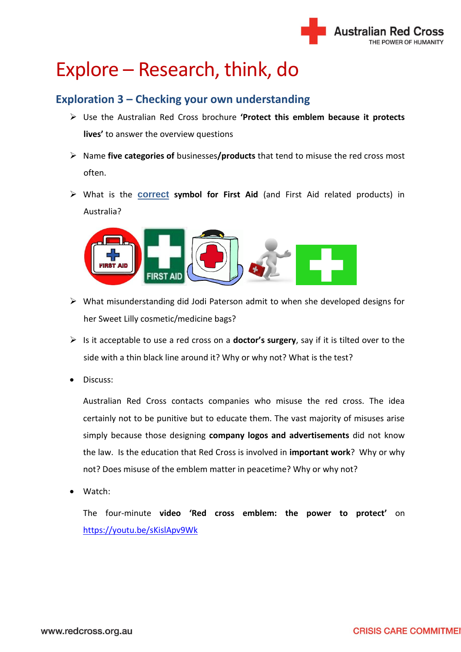

# Explore – Research, think, do

# **Exploration 3 – Checking your own understanding**

- Use the Australian Red Cross brochure **'Protect this emblem because it protects lives'** to answer the overview questions
- Name **five categories of** businesses**/products** that tend to misuse the red cross most often.
- What is the **correct symbol for First Aid** (and First Aid related products) in Australia?



- What misunderstanding did Jodi Paterson admit to when she developed designs for her Sweet Lilly cosmetic/medicine bags?
- Is it acceptable to use a red cross on a **doctor's surgery**, say if it is tilted over to the side with a thin black line around it? Why or why not? What is the test?
- Discuss:

Australian Red Cross contacts companies who misuse the red cross. The idea certainly not to be punitive but to educate them. The vast majority of misuses arise simply because those designing **company logos and advertisements** did not know the law. Is the education that Red Cross is involved in **important work**? Why or why not? Does misuse of the emblem matter in peacetime? Why or why not?

Watch:

The four-minute **video 'Red cross emblem: the power to protect'** on <https://youtu.be/sKislApv9Wk>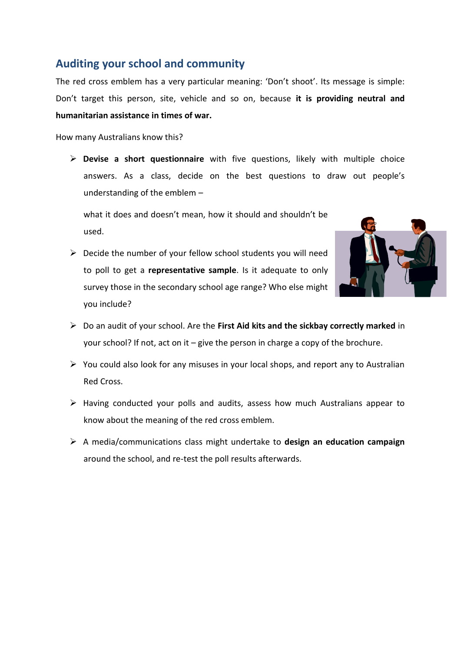#### **Auditing your school and community**

The red cross emblem has a very particular meaning: 'Don't shoot'. Its message is simple: Don't target this person, site, vehicle and so on, because **it is providing neutral and humanitarian assistance in times of war.**

How many Australians know this?

 **Devise a short questionnaire** with five questions, likely with multiple choice answers. As a class, decide on the best questions to draw out people's understanding of the emblem –

what it does and doesn't mean, how it should and shouldn't be used.

 $\triangleright$  Decide the number of your fellow school students you will need to poll to get a **representative sample**. Is it adequate to only survey those in the secondary school age range? Who else might you include?



- Do an audit of your school. Are the **First Aid kits and the sickbay correctly marked** in your school? If not, act on it – give the person in charge a copy of the brochure.
- $\triangleright$  You could also look for any misuses in your local shops, and report any to Australian Red Cross.
- $\triangleright$  Having conducted your polls and audits, assess how much Australians appear to know about the meaning of the red cross emblem.
- A media/communications class might undertake to **design an education campaign** around the school, and re-test the poll results afterwards.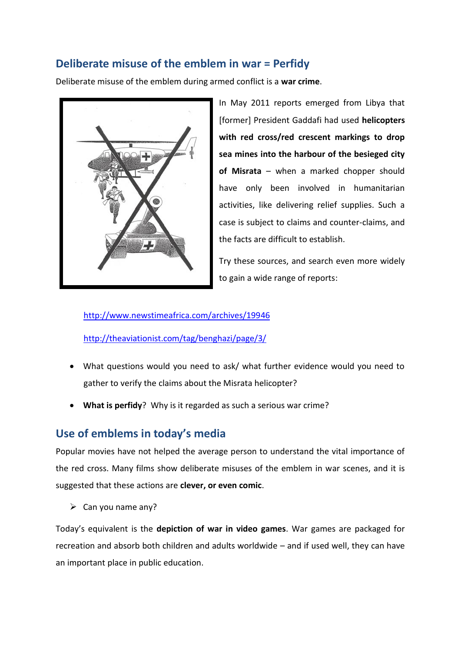## **Deliberate misuse of the emblem in war = Perfidy**

Deliberate misuse of the emblem during armed conflict is a **war crime**.



In May 2011 reports emerged from Libya that [former] President Gaddafi had used **helicopters with red cross/red crescent markings to drop sea mines into the harbour of the besieged city of Misrata** – when a marked chopper should have only been involved in humanitarian activities, like delivering relief supplies. Such a case is subject to claims and counter-claims, and the facts are difficult to establish.

Try these sources, and search even more widely to gain a wide range of reports:

<http://www.newstimeafrica.com/archives/19946>

<http://theaviationist.com/tag/benghazi/page/3/>

- What questions would you need to ask/ what further evidence would you need to gather to verify the claims about the Misrata helicopter?
- **What is perfidy**? Why is it regarded as such a serious war crime?

## **Use of emblems in today's media**

Popular movies have not helped the average person to understand the vital importance of the red cross. Many films show deliberate misuses of the emblem in war scenes, and it is suggested that these actions are **clever, or even comic**.

 $\triangleright$  Can you name any?

Today's equivalent is the **depiction of war in video games**. War games are packaged for recreation and absorb both children and adults worldwide – and if used well, they can have an important place in public education.